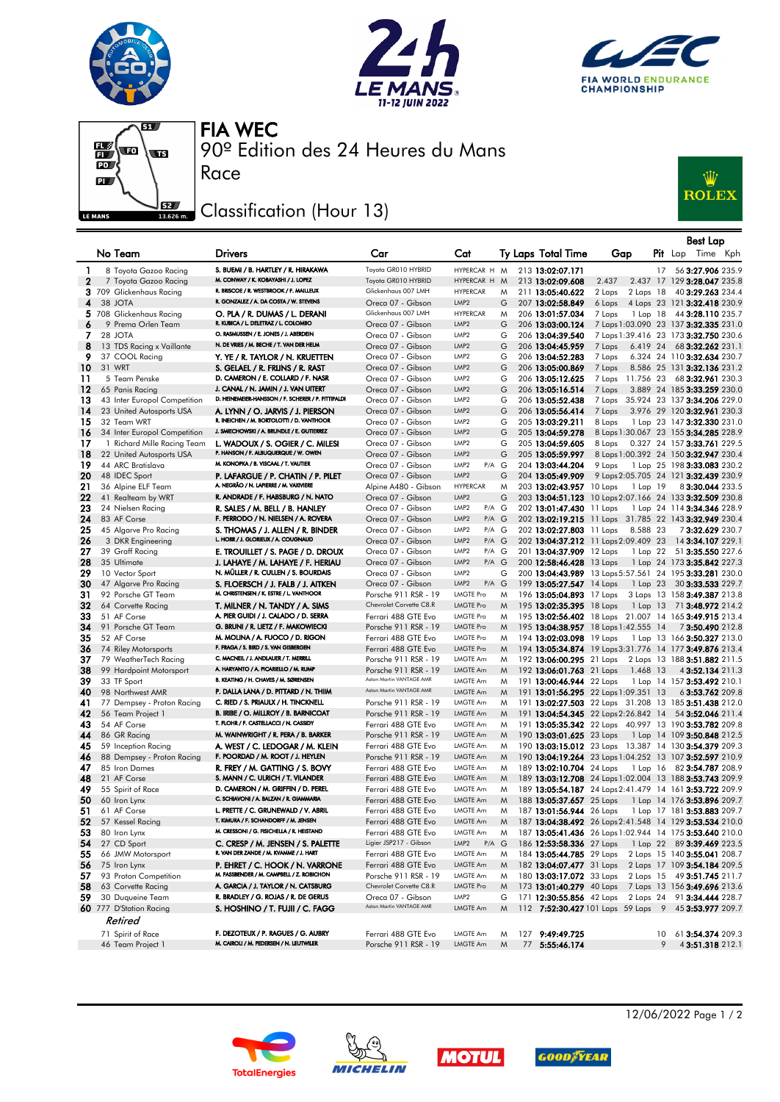







90º Edition des 24 Heures du Mans FIA WEC

## Classification (Hour 13)

Race



|              | No Team                          | <b>Drivers</b>                                                               | Car                                        | Cat                                           |        | Ty Laps Total Time       | Gap                                  |          | Best Lap<br><b>Pit</b> Lap Time Kph                                                                                |
|--------------|----------------------------------|------------------------------------------------------------------------------|--------------------------------------------|-----------------------------------------------|--------|--------------------------|--------------------------------------|----------|--------------------------------------------------------------------------------------------------------------------|
| 1            | 8 Toyota Gazoo Racing            | S. BUEMI / B. HARTLEY / R. HIRAKAWA                                          | Toyota GR010 HYBRID                        | HYPERCAR H M                                  |        | 213 13:02:07.171         |                                      | 17       | 56 3:27.906 235.9                                                                                                  |
| $\mathbf{2}$ | 7 Toyota Gazoo Racing            | M. CONWAY / K. KOBAYASHI / J. LOPEZ                                          | Toyota GR010 HYBRID                        | HYPERCAR H                                    | M      | 213 13:02:09.608         | 2.437                                |          | 2.437 17 129 3:28.047 235.8                                                                                        |
|              | 3 709 Glickenhaus Racing         | R. BRISCOE / R. WESTBROOK / F. MAILLEUX                                      | Glickenhaus 007 LMH                        | <b>HYPERCAR</b>                               | M      | 211 13:05:40.622         | 2 Laps                               |          | 2 Laps 18 40 3:29.263 234.4                                                                                        |
| 4            | 38 JOTA                          | R. GONZALEZ / A. DA COSTA / W. STEVENS                                       | Oreca 07 - Gibson                          | LMP <sub>2</sub>                              | G      | 207 13:02:58.849         | 6 Laps                               |          | 4 Laps 23 121 3:32.418 230.9                                                                                       |
|              | 5 708 Glickenhaus Racing         | O. PLA / R. DUMAS / L. DERANI                                                | Glickenhaus 007 LMH                        | <b>HYPERCAR</b>                               | M      | 206 13:01:57.034         | 7 Laps                               |          | 1 Lap 18 44 3:28.110 235.7                                                                                         |
| 6            | 9 Prema Orlen Team               | R. KUBICA / L. DELETRAZ / L. COLOMBO                                         | Oreca 07 - Gibson                          | LMP <sub>2</sub>                              | G      | 206 13:03:00.124         |                                      |          | 7 Laps 1:03.090 23 137 3:32.335 231.0                                                                              |
| 7            | 28 JOTA                          | O. RASMUSSEN / E. JONES / J. ABERDEIN                                        | Oreca 07 - Gibson                          | LMP <sub>2</sub>                              | G      | 206 13:04:39.540         |                                      |          | 7 Laps 1:39.416 23 173 3:32.750 230.6                                                                              |
| 8            | 13 TDS Racing x Vaillante        | N. DE VRIES / M. BECHE / T. VAN DER HELM                                     | Oreca 07 - Gibson                          | LMP <sub>2</sub>                              | G      | 206 13:04:45.959         | 7 Laps                               | 6.419 24 | 68 3:32.262 231.1                                                                                                  |
| 9            | 37 COOL Racing                   | Y. YE / R. TAYLOR / N. KRUETTEN                                              | Oreca 07 - Gibson                          | LMP <sub>2</sub>                              | G      | 206 13:04:52.283         | 7 Laps                               |          | 6.324 24 110 3:32.634 230.7                                                                                        |
| 10           | 31 WRT                           | S. GELAEL / R. FRIJNS / R. RAST                                              | Oreca 07 - Gibson                          | LMP <sub>2</sub>                              | G      | 206 13:05:00.869         | 7 Laps                               |          | 8.586 25 131 3:32.136 231.2                                                                                        |
| 11           | 5 Team Penske                    | D. CAMERON / E. COLLARD / F. NASR                                            | Oreca 07 - Gibson                          | LMP <sub>2</sub>                              | G      | 206 13:05:12.625         |                                      |          | 7 Laps 11.756 23 68 3:32.961 230.3                                                                                 |
| 12           | 65 Panis Racing                  | J. CANAL / N. JAMIN / J. VAN UITERT                                          | Oreca 07 - Gibson                          | LMP <sub>2</sub>                              | G      | 206 13:05:16.514         | 7 Laps                               |          | 3.889 24 185 3:33.259 230.0                                                                                        |
| 13           | 43 Inter Europol Competition     | D. HEINEMEIER-HANSSON / F. SCHERER / P. FITTIPALDI                           | Oreca 07 - Gibson                          | LMP <sub>2</sub>                              | G      | 206 13:05:52.438         |                                      |          | 7 Laps 35.924 23 137 3:34.206 229.0                                                                                |
| 14           | 23 United Autosports USA         | A. LYNN / O. JARVIS / J. PIERSON                                             | Oreca 07 - Gibson                          | LMP <sub>2</sub>                              | G      | 206 13:05:56.414         | 7 Laps                               |          | 3.976 29 120 3:32.961 230.3                                                                                        |
| 15           | 32 Team WRT                      | R. INEICHEN / M. BORTOLOTTI / D. VANTHOOR                                    | Oreca 07 - Gibson                          | LMP <sub>2</sub>                              | G      | 205 13:03:29.211         | 8 Laps                               |          | 1 Lap 23 147 3:32.330 231.0                                                                                        |
| 16           | 34 Inter Europol Competition     | J. SMIECHOWSKI / A. BRUNDLE / E. GUTIERREZ                                   | Oreca 07 - Gibson                          | LMP <sub>2</sub>                              | G      | 205 13:04:59.278         |                                      |          | 8 Laps 1:30.067 23 155 3:34.285 228.9                                                                              |
| 17           | 1 Richard Mille Racing Team      | L. WADOUX / S. OGIER / C. MILESI<br>P. HANSON / F. ALBUQUERQUE / W. OWEN     | Oreca 07 - Gibson                          | LMP <sub>2</sub>                              | G      | 205 13:04:59.605         | 8 Laps                               |          | 0.327 24 157 3:33.761 229.5                                                                                        |
| 18           | 22 United Autosports USA         | M. KONOPKA / B. VISCAAL / T. VAUTIER                                         | Oreca 07 - Gibson                          | LMP <sub>2</sub>                              | G      | 205 13:05:59.997         |                                      |          | 8 Laps 1:00.392 24 150 3:32.947 230.4                                                                              |
| 19           | 44 ARC Bratislava                |                                                                              | Oreca 07 - Gibson                          | LMP <sub>2</sub><br>P/A G                     |        | 204 13:03:44.204         | 9 Laps                               |          | 1 Lap 25 198 3:33.083 230.2                                                                                        |
| 20           | 48 IDEC Sport                    | P. LAFARGUE / P. CHATIN / P. PILET<br>A. NEGRÃO / N. LAPIERRE / M. VAXIVIERE | Oreca 07 - Gibson                          | LMP <sub>2</sub>                              | G      | 204 13:05:49.909         |                                      |          | 9 Laps 2:05.705 24 121 3:32.439 230.9                                                                              |
| 21           | 36 Alpine ELF Team               |                                                                              | Alpine A480 - Gibson                       | <b>HYPERCAR</b>                               | M      | 203 13:02:43.957 10 Laps |                                      | 1 Lap 19 | 83:30.044 233.5                                                                                                    |
| 22           | 41 Realteam by WRT               | R. ANDRADE / F. HABSBURG / N. NATO                                           | Oreca 07 - Gibson                          | LMP <sub>2</sub><br>LMP <sub>2</sub><br>P/A G | G      |                          |                                      |          | 203 13:04:51.123 10 Laps 2:07.166 24 133 3:32.509 230.8                                                            |
| 23<br>24     | 24 Nielsen Racing<br>83 AF Corse | R. SALES / M. BELL / B. HANLEY<br>F. PERRODO / N. NIELSEN / A. ROVERA        | Oreca 07 - Gibson                          | LMP <sub>2</sub><br>P/A G                     |        | 202 13:01:47.430 11 Laps |                                      |          | 1 Lap 24 114 3:34.346 228.9<br>202 13:02:19.215 11 Laps 31.785 22 143 3:32.949 230.4                               |
| 25           | 45 Algarve Pro Racing            | S. THOMAS / J. ALLEN / R. BINDER                                             | Oreca 07 - Gibson<br>Oreca 07 - Gibson     | LMP <sub>2</sub><br>P/A G                     |        | 202 13:02:27.803 11 Laps |                                      | 8.588 23 | 73:32.629 230.7                                                                                                    |
| 26           | 3 DKR Engineering                | L. HORR / J. GLORIEUX / A. COUGNAUD                                          | Oreca 07 - Gibson                          | LMP <sub>2</sub><br>P/A G                     |        |                          | 202 13:04:37.212 11 Laps 2:09.409 23 |          | 14 3:34.107 229.1                                                                                                  |
| 27           | 39 Graff Racing                  | E. TROUILLET / S. PAGE / D. DROUX                                            | Oreca 07 - Gibson                          | LMP <sub>2</sub><br>P/A G                     |        | 201 13:04:37.909 12 Laps |                                      |          | 1 Lap 22 51 3:35.550 227.6                                                                                         |
| 28           | 35 Ultimate                      | J. LAHAYE / M. LAHAYE / F. HERIAU                                            | Oreca 07 - Gibson                          | LMP <sub>2</sub><br>P/A G                     |        | 200 12:58:46.428 13 Laps |                                      |          | 1 Lap 24 173 3:35.842 227.3                                                                                        |
| 29           | 10 Vector Sport                  | N. MÜLLER / R. CULLEN / S. BOURDAIS                                          | Oreca 07 - Gibson                          | LMP <sub>2</sub>                              | G      |                          |                                      |          | 200 13:04:43.989 13 Laps 5:57.561 24 195 3:33.281 230.0                                                            |
| 30           | 47 Algarve Pro Racing            | S. FLOERSCH / J. FALB / J. AITKEN                                            | Oreca 07 - Gibson                          | LMP <sub>2</sub><br>$P/A$ $G$                 |        | 199 13:05:27.547 14 Laps |                                      |          | 1 Lap 23 30 3:33.533 229.7                                                                                         |
| 31           | 92 Porsche GT Team               | M. CHRISTENSEN / K. ESTRE / L. VANTHOOR                                      | Porsche 911 RSR - 19                       | <b>LMGTE Pro</b>                              | M      | 196 13:05:04.893 17 Laps |                                      |          | 3 Laps 13 158 3:49.387 213.8                                                                                       |
| 32           | 64 Corvette Racing               | T. MILNER / N. TANDY / A. SIMS                                               | Chevrolet Corvette C8.R                    | LMGTE Pro                                     | M      | 195 13:02:35.395 18 Laps |                                      |          | 1 Lap 13 71 3:48.972 214.2                                                                                         |
| 33           | 51 AF Corse                      | A. PIER GUIDI / J. CALADO / D. SERRA                                         | Ferrari 488 GTE Evo                        | <b>LMGTE Pro</b>                              | M      |                          |                                      |          | 195 13:02:56.402 18 Laps 21.007 14 165 3:49.915 213.4                                                              |
| 34           | 91 Porsche GT Team               | G. BRUNI / R. LIETZ / F. MAKOWIECKI                                          | Porsche 911 RSR - 19                       | <b>LMGTE Pro</b>                              | M      |                          | 195 13:04:38.957 18 Laps 1:42.555 14 |          | 73:50.490 212.8                                                                                                    |
| 35           | 52 AF Corse                      | M. MOLINA / A. FUOCO / D. RIGON                                              | Ferrari 488 GTE Evo                        | LMGTE Pro                                     | M      | 194 13:02:03.098 19 Laps |                                      |          | 1 Lap 13 166 3:50.327 213.0                                                                                        |
| 36           | 74 Riley Motorsports             | F. FRAGA / S. BIRD / S. VAN GISBERGEN                                        | Ferrari 488 GTE Evo                        | <b>LMGTE Pro</b>                              | M      |                          |                                      |          | 194 13:05:34.874 19 Laps 3:31.776 14 177 3:49.876 213.4                                                            |
| 37           | 79 WeatherTech Racing            | C. MACNEIL / J. ANDLAUER / T. MERRILL                                        | Porsche 911 RSR - 19                       | LMGTE Am                                      | M      | 192 13:06:00.295 21 Laps |                                      |          | 2 Laps 13 188 3:51.882 211.5                                                                                       |
| 38           | 99 Hardpoint Motorsport          | A. HARYANTO / A. PICARIELLO / M. RUMP                                        | Porsche 911 RSR - 19                       | <b>LMGTE Am</b>                               | M      | 192 13:06:01.763 21 Laps | 1.468 13                             |          | 4 3:52.134 211.3                                                                                                   |
| 39           | 33 TF Sport                      | B. KEATING / H. CHAVES / M. SØRENSEN                                         | Aston Martin VANTAGE AMR                   | LMGTE Am                                      | M      | 191 13:00:46.944 22 Laps |                                      |          | 1 Lap 14 157 3:53.492 210.1                                                                                        |
| 40           | 98 Northwest AMR                 | P. DALLA LANA / D. PITTARD / N. THIIM                                        | Aston Martin VANTAGE AMR                   | LMGTE Am                                      | M      |                          | 191 13:01:56.295 22 Laps 1:09.351 13 |          | 63:53.762 209.8                                                                                                    |
| 41           | 77 Dempsey - Proton Racing       | C. RIED / S. PRIAULX / H. TINCKNELL                                          | Porsche 911 RSR - 19                       | LMGTE Am                                      | M      |                          |                                      |          | 191 13:02:27.503 22 Laps 31.208 13 185 3:51.438 212.0                                                              |
| 42           | 56 Team Project 1                | B. IRIBE / O. MILLROY / B. BARNICOAT                                         | Porsche 911 RSR - 19                       | <b>LMGTE Am</b>                               | M      |                          | 191 13:04:54.345 22 Laps 2:26.842 14 |          | 54 3:52.046 211.4                                                                                                  |
| 43           | 54 AF Corse                      | T. FLOHR / F. CASTELLACCI / N. CASSIDY                                       | Ferrari 488 GTE Evo                        | LMGTE Am                                      | M      |                          |                                      |          | 191 13:05:35.342 22 Laps 40.997 13 190 3:53.782 209.8                                                              |
| 44           | 86 GR Racing                     | M. WAINWRIGHT / R. PERA / B. BARKER                                          | Porsche 911 RSR - 19                       | LMGTE Am                                      | M      | 190 13:03:01.625 23 Laps |                                      |          | 1 Lap 14 109 <b>3:50.848</b> 212.5                                                                                 |
| 45           | 59 Inception Racing              | A. WEST / C. LEDOGAR / M. KLEIN                                              | Ferrari 488 GTE Evo                        | LMGTE Am                                      | M      |                          |                                      |          | 190 13:03:15.012 23 Laps 13.387 14 130 3:54.379 209.3                                                              |
| 46           | 88 Dempsey - Proton Racing       | F. POORDAD / M. ROOT / J. HEYLEN                                             | Porsche 911 RSR - 19                       | LMGTE Am<br>LMGTE Am                          | M      |                          |                                      |          | 190 13:04:19.264 23 Laps 1:04.252 13 107 3:52.597 210.9                                                            |
| 47<br>48     | 85 Iron Dames<br>21 AF Corse     | R. FREY / M. GATTING / S. BOVY<br>S. MANN / C. ULRICH / T. VILANDER          | Ferrari 488 GTE Evo<br>Ferrari 488 GTE Evo | LMGTE Am                                      | M<br>M | 189 13:02:10.704 24 Laps |                                      |          | 1 Lap 16 82 3:54.787 208.9                                                                                         |
| 49           | 55 Spirit of Race                | D. CAMERON / M. GRIFFIN / D. PEREL                                           | Ferrari 488 GTE Evo                        | LMGTE Am                                      | M      |                          |                                      |          | 189 13:03:12.708 24 Laps 1:02.004 13 188 3:53.743 209.9<br>189 13:05:54.187 24 Laps 2:41.479 14 161 3:53.722 209.9 |
| 50           | 60 Iron Lynx                     | C. SCHIAVONI / A. BALZAN / R. GIAMMARIA                                      | Ferrari 488 GTE Evo                        | LMGTE Am                                      | M      |                          |                                      |          | 188 13:05:37.657 25 Laps 1 Lap 14 176 3:53.896 209.7                                                               |
| 51           | 61 AF Corse                      | L. PRETTE / C. GRUNEWALD / V. ABRIL                                          | Ferrari 488 GTE Evo                        | LMGTE Am                                      | M      |                          |                                      |          | 187 13:01:56.944 26 Laps 1 Lap 17 181 3:53.883 209.7                                                               |
| 52           | 57 Kessel Racing                 | T. KIMURA / F. SCHANDORFF / M. JENSEN                                        | Ferrari 488 GTE Evo                        | LMGTE Am                                      | M      |                          |                                      |          | 187 13:04:38.492 26 Laps 2:41.548 14 129 3:53.534 210.0                                                            |
| 53           | 80 Iron Lynx                     | M. CRESSONI / G. FISICHELLA / R. HEISTAND                                    | Ferrari 488 GTE Evo                        | <b>LMGTE Am</b>                               | M      |                          |                                      |          | 187 13:05:41.436 26 Laps 1:02.944 14 175 3:53.640 210.0                                                            |
| 54           | 27 CD Sport                      | C. CRESP / M. JENSEN / S. PALETTE                                            | Ligier JSP217 - Gibson                     | LMP <sub>2</sub><br>$P/A$ $G$                 |        | 186 12:53:58.336 27 Laps |                                      |          | 1 Lap 22 89 3:39.469 223.5                                                                                         |
| 55           | 66 JMW Motorsport                | R. VAN DER ZANDE / M. KVAMME / J. HART                                       | Ferrari 488 GTE Evo                        | <b>LMGTE Am</b>                               | M      | 184 13:05:44.785 29 Laps |                                      |          | 2 Laps 15 140 3:55.041 208.7                                                                                       |
| 56           | 75 Iron Lynx                     | P. EHRET / C. HOOK / N. VARRONE                                              | Ferrari 488 GTE Evo                        | LMGTE Am                                      | M      | 182 13:04:07.477 31 Laps |                                      |          | 2 Laps 17 109 3:54.184 209.5                                                                                       |
| 57           | 93 Proton Competition            | M. FASSBENDER / M. CAMPBELL / Z. ROBICHON                                    | Porsche 911 RSR - 19                       | <b>LMGTE Am</b>                               | M      | 180 13:03:17.072 33 Laps |                                      |          | 2 Laps 15 49 3:51.745 211.7                                                                                        |
| 58           | 63 Corvette Racing               | A. GARCIA / J. TAYLOR / N. CATSBURG                                          | Chevrolet Corvette C8.R                    | <b>LMGTE Pro</b>                              | M      | 173 13:01:40.279 40 Laps |                                      |          | 7 Laps 13 156 3:49.696 213.6                                                                                       |
| 59           | 30 Duqueine Team                 | R. BRADLEY / G. ROJAS / R. DE GERUS                                          | Oreca 07 - Gibson                          | LMP2                                          | G      | 171 12:30:55.856 42 Laps |                                      |          | 2 Laps 24 91 3:34.444 228.7                                                                                        |
|              | 60 777 D'Station Racing          | S. HOSHINO / T. FUJII / C. FAGG                                              | Aston Martin VANTAGE AMR                   | LMGTE Am                                      | M      |                          |                                      |          | 112 7:52:30.427 101 Laps 59 Laps 9 45 3:53.977 209.7                                                               |
|              | Retired                          |                                                                              |                                            |                                               |        |                          |                                      |          |                                                                                                                    |
|              | 71 Spirit of Race                | F. DEZOTEUX / P. RAGUES / G. AUBRY                                           | Ferrari 488 GTE Evo                        | LMGTE Am                                      | M      | 127 9:49:49.725          |                                      | 10       | 61 3:54.374 209.3                                                                                                  |
|              | 46 Team Project 1                | M. CAIROLI / M. PEDERSEN / N. LEUTWILER                                      | Porsche 911 RSR - 19                       | LMGTE Am                                      | M      | 77 5:55:46.174           |                                      | 9        | 43:51.318 212.1                                                                                                    |